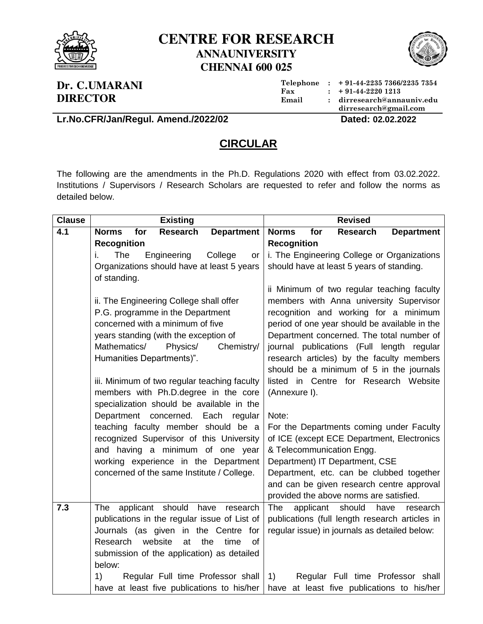

## **CENTRE FOR RESEARCH ANNAUNIVERSITY CHENNAI 600 025**



## **Dr. C.UMARANI DIRECTOR**

**Telephone : + 91-44-2235 7366/2235 7354 Fax : + 91-44-2220 1213 Email : dirresearch@annauniv.edu dirresearch@gmail.com**

**Lr.No.CFR/Jan/Regul. Amend./2022/02 Dated: 02.02.2022**

## **CIRCULAR**

The following are the amendments in the Ph.D. Regulations 2020 with effect from 03.02.2022. Institutions / Supervisors / Research Scholars are requested to refer and follow the norms as detailed below.

| <b>Clause</b> | <b>Existing</b>                                                                      | <b>Revised</b>                                                                                          |
|---------------|--------------------------------------------------------------------------------------|---------------------------------------------------------------------------------------------------------|
| 4.1           | <b>Research</b><br><b>Department</b><br><b>Norms</b><br>for                          | <b>Norms</b><br><b>Research</b><br><b>Department</b><br>for                                             |
|               | <b>Recognition</b>                                                                   | <b>Recognition</b>                                                                                      |
|               | Engineering<br>The<br>College<br>i.<br>or                                            | i. The Engineering College or Organizations                                                             |
|               | Organizations should have at least 5 years                                           | should have at least 5 years of standing.                                                               |
|               | of standing.                                                                         |                                                                                                         |
|               |                                                                                      | ii Minimum of two regular teaching faculty                                                              |
|               | ii. The Engineering College shall offer                                              | members with Anna university Supervisor                                                                 |
|               | P.G. programme in the Department                                                     | recognition and working for a minimum                                                                   |
|               | concerned with a minimum of five                                                     | period of one year should be available in the                                                           |
|               | years standing (with the exception of                                                | Department concerned. The total number of                                                               |
|               | Mathematics/<br>Physics/<br>Chemistry/                                               | journal publications (Full length regular                                                               |
|               | Humanities Departments)".                                                            | research articles) by the faculty members                                                               |
|               |                                                                                      | should be a minimum of 5 in the journals                                                                |
|               | iii. Minimum of two regular teaching faculty                                         | listed in Centre for Research Website                                                                   |
|               | members with Ph.D.degree in the core                                                 | (Annexure I).                                                                                           |
|               | specialization should be available in the                                            |                                                                                                         |
|               | Department concerned. Each regular                                                   | Note:                                                                                                   |
|               | teaching faculty member should be a                                                  | For the Departments coming under Faculty                                                                |
|               | recognized Supervisor of this University                                             | of ICE (except ECE Department, Electronics                                                              |
|               | and having a minimum of one year                                                     | & Telecommunication Engg.                                                                               |
|               | working experience in the Department                                                 | Department) IT Department, CSE                                                                          |
|               | concerned of the same Institute / College.                                           | Department, etc. can be clubbed together                                                                |
|               |                                                                                      | and can be given research centre approval                                                               |
| 7.3           |                                                                                      | provided the above norms are satisfied.                                                                 |
|               | applicant should have<br><b>The</b><br>research                                      | <b>The</b><br>applicant<br>should<br>have<br>research<br>publications (full length research articles in |
|               | publications in the regular issue of List of<br>Journals (as given in the Centre for | regular issue) in journals as detailed below:                                                           |
|               | Research<br>website<br>at<br>the<br><b>of</b><br>time                                |                                                                                                         |
|               | submission of the application) as detailed                                           |                                                                                                         |
|               | below:                                                                               |                                                                                                         |
|               | 1)<br>Regular Full time Professor shall                                              | Regular Full time Professor shall<br>1)                                                                 |
|               | have at least five publications to his/her                                           | have at least five publications to his/her                                                              |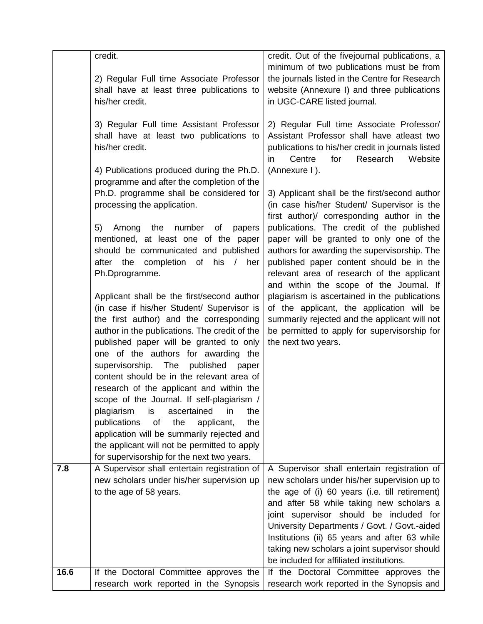|      | credit.                                                                                        |                                                                                            |
|------|------------------------------------------------------------------------------------------------|--------------------------------------------------------------------------------------------|
|      |                                                                                                | credit. Out of the fivejournal publications, a<br>minimum of two publications must be from |
|      | 2) Regular Full time Associate Professor                                                       | the journals listed in the Centre for Research                                             |
|      | shall have at least three publications to                                                      | website (Annexure I) and three publications                                                |
|      | his/her credit.                                                                                | in UGC-CARE listed journal.                                                                |
|      |                                                                                                |                                                                                            |
|      | 3) Regular Full time Assistant Professor                                                       | 2) Regular Full time Associate Professor/                                                  |
|      | shall have at least two publications to                                                        | Assistant Professor shall have atleast two                                                 |
|      | his/her credit.                                                                                | publications to his/her credit in journals listed                                          |
|      |                                                                                                | Centre<br>for<br>Research<br>Website<br>in                                                 |
|      | 4) Publications produced during the Ph.D.                                                      | (Annexure I).                                                                              |
|      | programme and after the completion of the                                                      |                                                                                            |
|      | Ph.D. programme shall be considered for                                                        | 3) Applicant shall be the first/second author                                              |
|      | processing the application.                                                                    | (in case his/her Student/ Supervisor is the                                                |
|      |                                                                                                | first author)/ corresponding author in the                                                 |
|      | Among<br>the<br>number<br>5)<br>of<br>papers                                                   | publications. The credit of the published                                                  |
|      | mentioned, at least one of the paper                                                           | paper will be granted to only one of the<br>authors for awarding the supervisorship. The   |
|      | should be communicated and published<br>after the completion of his /<br>her                   | published paper content should be in the                                                   |
|      | Ph.Dprogramme.                                                                                 | relevant area of research of the applicant                                                 |
|      |                                                                                                | and within the scope of the Journal. If                                                    |
|      | Applicant shall be the first/second author                                                     | plagiarism is ascertained in the publications                                              |
|      | (in case if his/her Student/ Supervisor is                                                     | of the applicant, the application will be                                                  |
|      | the first author) and the corresponding                                                        | summarily rejected and the applicant will not                                              |
|      | author in the publications. The credit of the                                                  | be permitted to apply for supervisorship for                                               |
|      | published paper will be granted to only                                                        | the next two years.                                                                        |
|      | one of the authors for awarding the                                                            |                                                                                            |
|      | supervisorship. The<br>published<br>paper                                                      |                                                                                            |
|      | content should be in the relevant area of                                                      |                                                                                            |
|      | research of the applicant and within the                                                       |                                                                                            |
|      | scope of the Journal. If self-plagiarism /                                                     |                                                                                            |
|      | ascertained<br>in<br>plagiarism<br>is<br>the<br>publications<br>the<br>of<br>applicant,<br>the |                                                                                            |
|      | application will be summarily rejected and                                                     |                                                                                            |
|      | the applicant will not be permitted to apply                                                   |                                                                                            |
|      | for supervisorship for the next two years.                                                     |                                                                                            |
| 7.8  | A Supervisor shall entertain registration of                                                   | A Supervisor shall entertain registration of                                               |
|      | new scholars under his/her supervision up                                                      | new scholars under his/her supervision up to                                               |
|      | to the age of 58 years.                                                                        | the age of (i) 60 years (i.e. till retirement)                                             |
|      |                                                                                                | and after 58 while taking new scholars a                                                   |
|      |                                                                                                | joint supervisor should be included for                                                    |
|      |                                                                                                | University Departments / Govt. / Govt.-aided                                               |
|      |                                                                                                | Institutions (ii) 65 years and after 63 while                                              |
|      |                                                                                                | taking new scholars a joint supervisor should                                              |
|      |                                                                                                | be included for affiliated institutions.                                                   |
| 16.6 | If the Doctoral Committee approves the                                                         | If the Doctoral Committee approves the                                                     |
|      | research work reported in the Synopsis                                                         | research work reported in the Synopsis and                                                 |